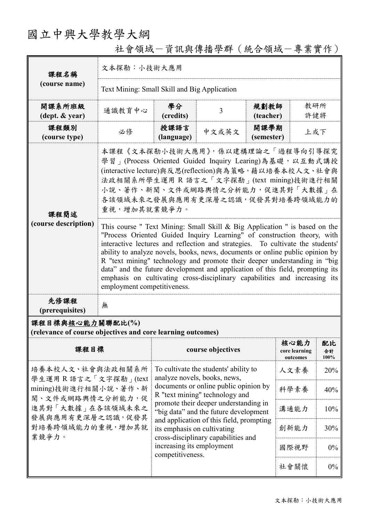# 國立中興大學教學大綱

| 課程名稱<br>(course name)                                                                                                                                      | 文本探勘:小技術大應用                                                                                                                                                                                                                                                                                                                                                                                                                                                                                                                                                                                         |                                                                                                                                                                 |                   |                    |                                   |                     |  |
|------------------------------------------------------------------------------------------------------------------------------------------------------------|-----------------------------------------------------------------------------------------------------------------------------------------------------------------------------------------------------------------------------------------------------------------------------------------------------------------------------------------------------------------------------------------------------------------------------------------------------------------------------------------------------------------------------------------------------------------------------------------------------|-----------------------------------------------------------------------------------------------------------------------------------------------------------------|-------------------|--------------------|-----------------------------------|---------------------|--|
|                                                                                                                                                            | Text Mining: Small Skill and Big Application                                                                                                                                                                                                                                                                                                                                                                                                                                                                                                                                                        |                                                                                                                                                                 |                   |                    |                                   |                     |  |
| 開課系所班級<br>$(\text{dept.} \& \text{ year})$                                                                                                                 | 通識教育中心                                                                                                                                                                                                                                                                                                                                                                                                                                                                                                                                                                                              | 學分<br>(credits)                                                                                                                                                 | 3                 | 規劃教師<br>(teacher)  | 教研所<br>許健將                        |                     |  |
| 課程類別<br>(course type)                                                                                                                                      | 必修                                                                                                                                                                                                                                                                                                                                                                                                                                                                                                                                                                                                  | 授課語言<br>(language)                                                                                                                                              | 中文或英文             | 開課學期<br>(semester) | 上或下                               |                     |  |
| 課程簡述                                                                                                                                                       | 本課程《文本探勘小技術大應用》,係以建構理論之「過程導向引導探究<br>學習   (Process Oriented Guided Inquiry Learing)為基礎, 以互動式講授<br>(interactive lecture)與反思(reflection)與為策略,藉以培養本校人文、社會與<br>法政相關系所學生運用 R 語言之「文字探勘」(text mining)技術進行相關<br>小說、著作、新聞、文件或網路輿情之分析能力,促進其對「大數據」在<br>各該領域未來之發展與應用有更深層之認識,促發其對培養跨領域能力的<br>重視,增加其就業競爭力。                                                                                                                                                                                                                                                                                                         |                                                                                                                                                                 |                   |                    |                                   |                     |  |
| (course description)                                                                                                                                       | This course " Text Mining: Small Skill & Big Application " is based on the<br>"Process Oriented Guided Inquiry Learning" of construction theory, with<br>interactive lectures and reflection and strategies. To cultivate the students'<br>ability to analyze novels, books, news, documents or online public opinion by<br>R "text mining" technology and promote their deeper understanding in "big<br>data" and the future development and application of this field, prompting its<br>emphasis on cultivating cross-disciplinary capabilities and increasing its<br>employment competitiveness. |                                                                                                                                                                 |                   |                    |                                   |                     |  |
| 先修課程<br>(prerequisites)                                                                                                                                    | 無                                                                                                                                                                                                                                                                                                                                                                                                                                                                                                                                                                                                   |                                                                                                                                                                 |                   |                    |                                   |                     |  |
| 課程目標與核心能力關聯配比(%)<br>(relevance of course objectives and core learning outcomes)                                                                            |                                                                                                                                                                                                                                                                                                                                                                                                                                                                                                                                                                                                     |                                                                                                                                                                 |                   |                    |                                   |                     |  |
| 課程目標                                                                                                                                                       |                                                                                                                                                                                                                                                                                                                                                                                                                                                                                                                                                                                                     |                                                                                                                                                                 | course objectives |                    | 核心能力<br>core learning<br>outcomes | 配比<br>合計<br>$100\%$ |  |
| 培養本校人文、社會與法政相關系所<br>學生運用 R 語言之「文字探勘」(text<br>mining)技術進行相關小說、著作、新<br>聞、文件或網路輿情之分析能力,促<br>進其對「大數據」在各該領域未來之<br>發展與應用有更深層之認識,促發其<br>對培養跨領域能力的重視,增加其就<br>業競爭力。 |                                                                                                                                                                                                                                                                                                                                                                                                                                                                                                                                                                                                     | To cultivate the students' ability to<br>analyze novels, books, news,                                                                                           |                   | 人文素養               | 20%                               |                     |  |
|                                                                                                                                                            |                                                                                                                                                                                                                                                                                                                                                                                                                                                                                                                                                                                                     | documents or online public opinion by<br>R "text mining" technology and                                                                                         |                   |                    | 科學素養                              | 40%                 |  |
|                                                                                                                                                            |                                                                                                                                                                                                                                                                                                                                                                                                                                                                                                                                                                                                     | promote their deeper understanding in<br>"big data" and the future development                                                                                  | 溝通能力              | 10%                |                                   |                     |  |
|                                                                                                                                                            |                                                                                                                                                                                                                                                                                                                                                                                                                                                                                                                                                                                                     | and application of this field, prompting<br>its emphasis on cultivating<br>cross-disciplinary capabilities and<br>increasing its employment<br>competitiveness. |                   |                    | 創新能力                              | 30%                 |  |
|                                                                                                                                                            |                                                                                                                                                                                                                                                                                                                                                                                                                                                                                                                                                                                                     |                                                                                                                                                                 |                   |                    | 國際視野                              | $0\%$               |  |

社會領域-資訊與傳播學群(統合領域-專業實作)

社會關懷 0%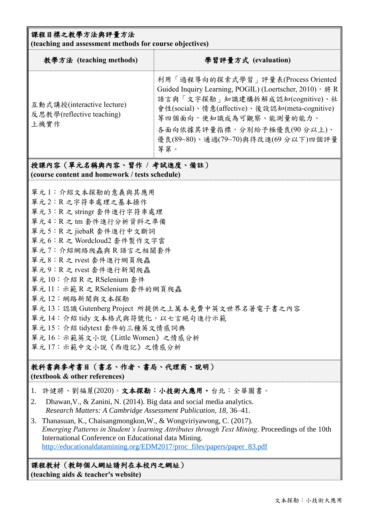#### 課程目標之教學方法與評量方法

**(teaching and assessment methods for course objectives)**

| 教學方法 (teaching methods)                                                      | 學習評量方式 (evaluation)                                                                                                                                                                                                                                                                    |  |  |  |  |
|------------------------------------------------------------------------------|----------------------------------------------------------------------------------------------------------------------------------------------------------------------------------------------------------------------------------------------------------------------------------------|--|--|--|--|
| 互動式講授(interactive lecture)<br>反思教學(reflective teaching)<br>上機實作              | 利用「過程導向的探索式學習」評量表(Process Oriented<br>Guided Inquiry Learning, POGIL) (Loertscher, 2010), 將 R<br>語言與「文字探勘」知識建構拆解成認知(cognitive)、社<br>會性(social)、情意(affective)、後設認知(meta-cognitive)<br>等四個面向,使知識成為可觀察、能測量的能力。<br>各面向依據其評量指標,分別給予極優良(90分以上)、<br>優良(89~80)、通過(79~70)與待改進(69分以下)四個評量<br>等第。 |  |  |  |  |
| 授課內容(單元名稱與內容、習作 / 考試進度、備註)<br>(course content and homework / tests schedule) |                                                                                                                                                                                                                                                                                        |  |  |  |  |
| 單元1:介紹文本探勘的意義與其應用<br>單元2:R之字符串處理之基本操作                                        |                                                                                                                                                                                                                                                                                        |  |  |  |  |

單元 3:R 之 stringr 套件進行字符串處理

- 單元 4:R 之 tm 套件進行分析資料之準備
- 單元 5:R 之 jiebaR 套件進行中文斷詞
- 單元 6:R 之 Wordcloud2 套件製作文字雲
- 單元 7:介紹網絡爬蟲與 R 語言之相關套件
- 單元 8:R 之 rvest 套件進行網頁爬蟲
- 單元 9:R 之 rvest 套件進行新聞爬蟲
- 單元 10:介紹 R 之 RSelenium 套件
- 單元 11:示範 R 之 RSelenium 套件的網頁爬蟲
- 單元 12:網路新聞與文本探勘
- 單元 13:認識 Gutenberg Project 所提供之上萬本免費中英文世界名著電子書之內容
- 單元 14: 介紹 tidy 文本格式與符號化,以七言絕句進行示範
- 單元 15:介紹 tidytext 套件的三種英文情感詞典
- 單元 16:示範英文小說《Little Women》之情感分析
- 單元 17:示範中文小說《西遊記》之情感分析

## 教科書與參考書目(書名、作者、書局、代理商、說明)

**(textbook & other references)**

- 1. 許健將、劉福蒝(2020)。文本探勘:小技術大應用。台北:全華圖書。
- 2. Dhawan,V., & Zanini, N. (2014). Big data and social media analytics. *Research Matters: A Cambridge Assessment Publication, 18*, 36–41.
- 3. Thanasuan, K., Chaisangmongkon,W., & Wongviriyawong, C. (2017). *Emerging Patterns in Student's learning Attributes through Text Mining*. Proceedings of the 10th International Conference on Educational data Mining. [http://educationaldatamining.org/EDM2017/proc\\_files/papers/paper\\_83.pdf](http://educationaldatamining.org/EDM2017/proc_files/papers/paper_83.pdf)

#### 課程教材(教師個人網址請列在本校內之網址) **(teaching aids & teacher's website)**